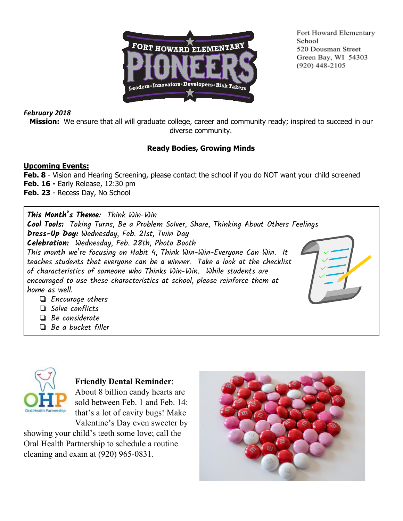

Fort Howard Elementary School 520 Dousman Street Green Bay, WI 54303  $(920)$  448-2105

# *February 2018*

**Mission:** We ensure that all will graduate college, career and community ready; inspired to succeed in our diverse community.

# **Ready Bodies, Growing Minds**

#### **Upcoming Events:**

**Feb. 8** - Vision and Hearing Screening, please contact the school if you do NOT want your child screened **Feb. 16 -** Early Release, 12:30 pm **Feb. 23** - Recess Day, No School

**This Month's Theme**: Think Win-Win **Cool Tools:** Taking Turns, Be a Problem Solver, Share, Thinking About Others Feelings **Dress-Up Day:** Wednesday, Feb. 21st, Twin Day **Celebration:** Wednesday, Feb. 28th, Photo Booth This month we're focusing on Habit 4, Think Win-Win-Everyone Can Win. It teaches students that everyone can be a winner. Take a look at the checklist of characteristics of someone who Thinks Win-Win. While students are encouraged to use these characteristics at school, please reinforce them at home as well. ❏ Encourage others

- ❏ Solve conflicts
- ❏ Be considerate
- ❏ Be a bucket filler



**Friendly Dental Reminder**: About 8 billion candy hearts are

sold between Feb. 1 and Feb. 14: that's a lot of cavity bugs! Make Valentine's Day even sweeter by

showing your child's teeth some love; call the Oral Health Partnership to schedule a routine cleaning and exam at (920) 965-0831.